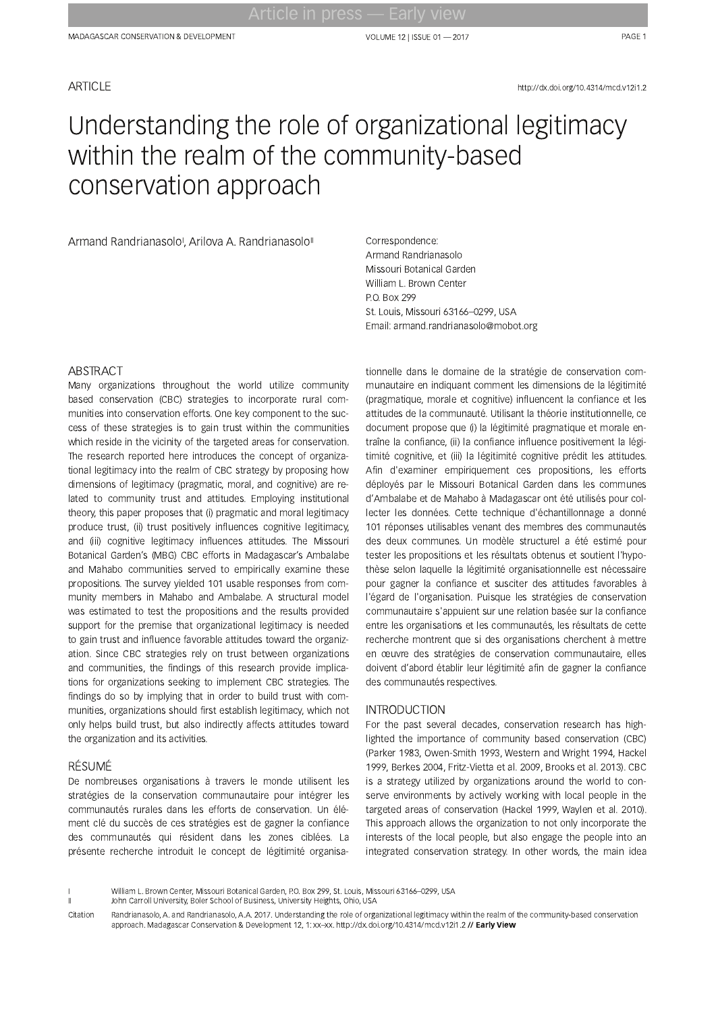# $\overline{\text{ARTICLE}}$  by a set of the set of the set of the set of the set of the set of the set of the set of the set of the set of the set of the set of the set of the set of the set of the set of the set of the set of the set o

/dx.doi.org/10.4314/mcd.v12i1.2

# Understanding the role of organizational legitimacy within the realm of the community-based conservation approach

Armand Randrianasolo<sup>,</sup> Arilova A. Randrianasolo<sup>"</sup> correspondence

Armand Randrianasolo Missouri Botanical Garden William L. Brown Center P.O. Box 299 St. Louis, Missouri 63166-0299, USA Email: armand.randrianasolo@mobot.org

# ABSTRACT

Many organizations throughout the world utilize community based conservation (CBC) strategies to incorporate rural communities into conservation efforts. One key component to the success of these strategies is to gain trust within the communities which reside in the vicinity of the targeted areas for conservation. The research reported here introduces the concept of organizational legitimacy into the realm of CBC strategy by proposing how dimensions of legitimacy (pragmatic, moral, and cognitive) are related to community trust and attitudes. Employing institutional theory, this paper proposes that (i) pragmatic and moral legitimacy produce trust, (ii) trust positively influences cognitive legitimacy, and (iii) cognitive legitimacy influences attitudes. The Missouri Botanical Garden's (MBG) CBC efforts in Madagascar's Ambalabe and Mahabo communities served to empirically examine these propositions. The survey yielded 101 usable responses from community members in Mahabo and Ambalabe. A structural model was estimated to test the propositions and the results provided support for the premise that organizational legitimacy is needed to gain trust and influence favorable attitudes toward the organization. Since CBC strategies rely on trust between organizations and communities, the findings of this research provide implications for organizations seeking to implement CBC strategies. The findings do so by implying that in order to build trust with communities, organizations should first establish legitimacy, which not only helps build trust, but also indirectly affects attitudes toward the organization and its activities.

# **RÉSUMÉ**

De nombreuses organisations à travers le monde utilisent les stratégies de la conservation communautaire pour intégrer les communautés rurales dans les efforts de conservation. Un élément clé du succès de ces stratégies est de gagner la confiance des communautés qui résident dans les zones ciblées. La présente recherche introduit le concept de légitimité organisationnelle dans le domaine de la stratégie de conservation communautaire en indiquant comment les dimensions de la légitimité (pragmatique, morale et cognitive) influencent la confiance et les attitudes de la communauté. Utilisant la théorie institutionnelle, ce document propose que (i) la légitimité pragmatique et morale entraîne la confiance, (ii) la confiance influence positivement la légitimité cognitive, et (iii) la légitimité cognitive prédit les attitudes. Afin d'examiner empiriquement ces propositions, les efforts déployés par le Missouri Botanical Garden dans les communes d'Ambalabe et de Mahabo à Madagascar ont été utilisés pour collecter les données. Cette technique d'échantillonnage a donné 101 réponses utilisables venant des membres des communautés des deux communes. Un modèle structurel a été estimé pour tester les propositions et les résultats obtenus et soutient l'hypothèse selon laquelle la légitimité organisationnelle est nécessaire pour gagner la confiance et susciter des attitudes favorables à l'égard de l'organisation. Puisque les stratégies de conservation communautaire s'appuient sur une relation basée sur la confiance entre les organisations et les communautés, les résultats de cette recherche montrent que si des organisations cherchent à mettre en œuvre des stratégies de conservation communautaire, elles doivent d'abord établir leur légitimité afin de gagner la confiance des communautés respectives.

### INTRODUCTION

For the past several decades, conservation research has highlighted the importance of community based conservation (CBC) (Parker 1983, Owen-Smith 1993, Western and Wright 1994, Hackel 1999, Berkes 2004, Fritz-Vietta et al. 2009, Brooks et al. 2013). CBC is a strategy utilized by organizations around the world to conserve environments by actively working with local people in the targeted areas of conservation (Hackel 1999, Waylen et al. 2010). This approach allows the organization to not only incorporate the interests of the local people, but also engage the people into an integrated conservation strategy. In other words, the main idea

1 Villiam L. Brown Center, Missouri Botanical Garden, P.O. Box 299, St. Louis, Missouri 63166-0299, USA<br>II bohn Carroll University. Boler School of Business. University Heights. Ohio. USA

John Carroll University, Boler School of Business, University Heights, Ohio, USA

Citation Randrianasolo, A. and Randrianasolo, A.A. 2017. Understanding the role of organizational legitimacy within the realm of the community-based conservation approach. Madagascar Conservation & Development 12, 1: xx–xx. http://dx.doi.org/10.4314/mcd.v12i1.2 **// Early View**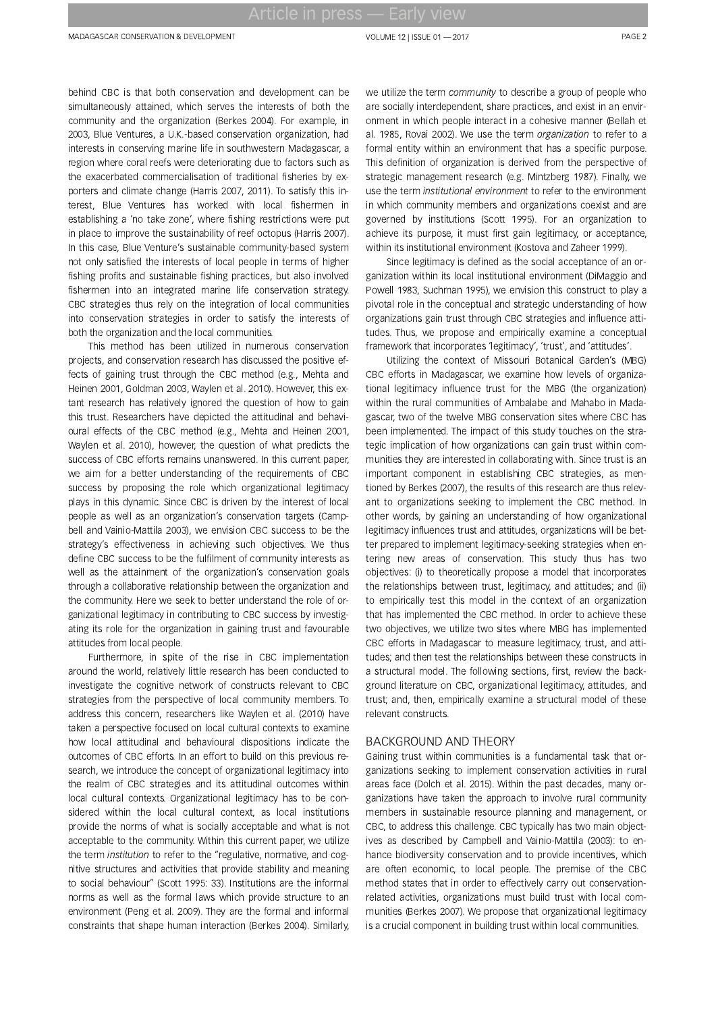MADAGASCAR CONSERVATION & DEVELOPMENT

VOLUME 12 | ISSUE 01 - 2017

PAGE 2

behind CBC is that both conservation and development can be simultaneously attained, which serves the interests of both the community and the organization (Berkes 2004). For example, in 2003, Blue Ventures, a U.K.-based conservation organization, had interests in conserving marine life in southwestern Madagascar, a region where coral reefs were deteriorating due to factors such as the exacerbated commercialisation of traditional fisheries by exporters and climate change (Harris 2007, 2011). To satisfy this interest, Blue Ventures has worked with local fishermen in establishing a 'no take zone', where fishing restrictions were put in place to improve the sustainability of reef octopus (Harris 2007). In this case, Blue Venture's sustainable community-based system not only satisfied the interests of local people in terms of higher fishing profits and sustainable fishing practices, but also involved fishermen into an integrated marine life conservation strategy. CBC strategies thus rely on the integration of local communities into conservation strategies in order to satisfy the interests of both the organization and the local communities.

This method has been utilized in numerous conservation projects, and conservation research has discussed the positive effects of gaining trust through the CBC method (e.g., Mehta and Heinen 2001, Goldman 2003, Waylen et al. 2010). However, this extant research has relatively ignored the question of how to gain this trust. Researchers have depicted the attitudinal and behavioural effects of the CBC method (e.g., Mehta and Heinen 2001, Waylen et al. 2010), however, the question of what predicts the success of CBC efforts remains unanswered. In this current paper, we aim for a better understanding of the requirements of CBC success by proposing the role which organizational legitimacy plays in this dynamic. Since CBC is driven by the interest of local people as well as an organization's conservation targets (Campbell and Vainio-Mattila 2003), we envision CBC success to be the strategy's effectiveness in achieving such objectives. We thus define CBC success to be the fulfilment of community interests as well as the attainment of the organization's conservation goals through a collaborative relationship between the organization and the community. Here we seek to better understand the role of organizational legitimacy in contributing to CBC success by investigating its role for the organization in gaining trust and favourable attitudes from local people.

Furthermore, in spite of the rise in CBC implementation around the world, relatively little research has been conducted to investigate the cognitive network of constructs relevant to CBC strategies from the perspective of local community members. To address this concern, researchers like Waylen et al. (2010) have taken a perspective focused on local cultural contexts to examine how local attitudinal and behavioural dispositions indicate the outcomes of CBC efforts. In an effort to build on this previous research, we introduce the concept of organizational legitimacy into the realm of CBC strategies and its attitudinal outcomes within local cultural contexts. Organizational legitimacy has to be considered within the local cultural context, as local institutions provide the norms of what is socially acceptable and what is not acceptable to the community. Within this current paper, we utilize the term institution to refer to the "regulative, normative, and cognitive structures and activities that provide stability and meaning to social behaviour" (Scott 1995: 33). Institutions are the informal norms as well as the formal laws which provide structure to an environment (Peng et al. 2009). They are the formal and informal constraints that shape human interaction (Berkes 2004). Similarly, we utilize the term community to describe a group of people who are socially interdependent, share practices, and exist in an environment in which people interact in a cohesive manner (Bellah et al. 1985, Rovai 2002). We use the term organization to refer to a formal entity within an environment that has a specific purpose. This definition of organization is derived from the perspective of strategic management research (e.g. Mintzberg 1987). Finally, we use the term institutional environment to refer to the environment in which community members and organizations coexist and are governed by institutions (Scott 1995). For an organization to achieve its purpose, it must first gain legitimacy, or acceptance, within its institutional environment (Kostova and Zaheer 1999).

Since legitimacy is defined as the social acceptance of an organization within its local institutional environment (DiMaggio and Powell 1983, Suchman 1995), we envision this construct to play a pivotal role in the conceptual and strategic understanding of how organizations gain trust through CBC strategies and influence attitudes. Thus, we propose and empirically examine a conceptual framework that incorporates 'legitimacy', 'trust', and 'attitudes'

Utilizing the context of Missouri Botanical Garden's (MBG) CBC efforts in Madagascar, we examine how levels of organizational legitimacy influence trust for the MBG (the organization) within the rural communities of Ambalabe and Mahabo in Madagascar, two of the twelve MBG conservation sites where CBC has been implemented. The impact of this study touches on the strategic implication of how organizations can gain trust within communities they are interested in collaborating with. Since trust is an important component in establishing CBC strategies, as mentioned by Berkes (2007), the results of this research are thus relevant to organizations seeking to implement the CBC method. In other words, by gaining an understanding of how organizational legitimacy influences trust and attitudes, organizations will be better prepared to implement legitimacy-seeking strategies when entering new areas of conservation. This study thus has two objectives: (i) to theoretically propose a model that incorporates the relationships between trust, legitimacy, and attitudes; and (ii) to empirically test this model in the context of an organization that has implemented the CBC method. In order to achieve these two objectives, we utilize two sites where MBG has implemented CBC efforts in Madagascar to measure legitimacy, trust, and attitudes; and then test the relationships between these constructs in a structural model. The following sections, first, review the background literature on CBC, organizational legitimacy, attitudes, and trust; and, then, empirically examine a structural model of these relevant constructs.

### **BACKGROUND AND THEORY**

Gaining trust within communities is a fundamental task that organizations seeking to implement conservation activities in rural areas face (Dolch et al. 2015). Within the past decades, many organizations have taken the approach to involve rural community members in sustainable resource planning and management, or CBC, to address this challenge. CBC typically has two main objectives as described by Campbell and Vainio-Mattila (2003): to enhance biodiversity conservation and to provide incentives, which are often economic, to local people. The premise of the CBC method states that in order to effectively carry out conservationrelated activities, organizations must build trust with local communities (Berkes 2007). We propose that organizational legitimacy is a crucial component in building trust within local communities.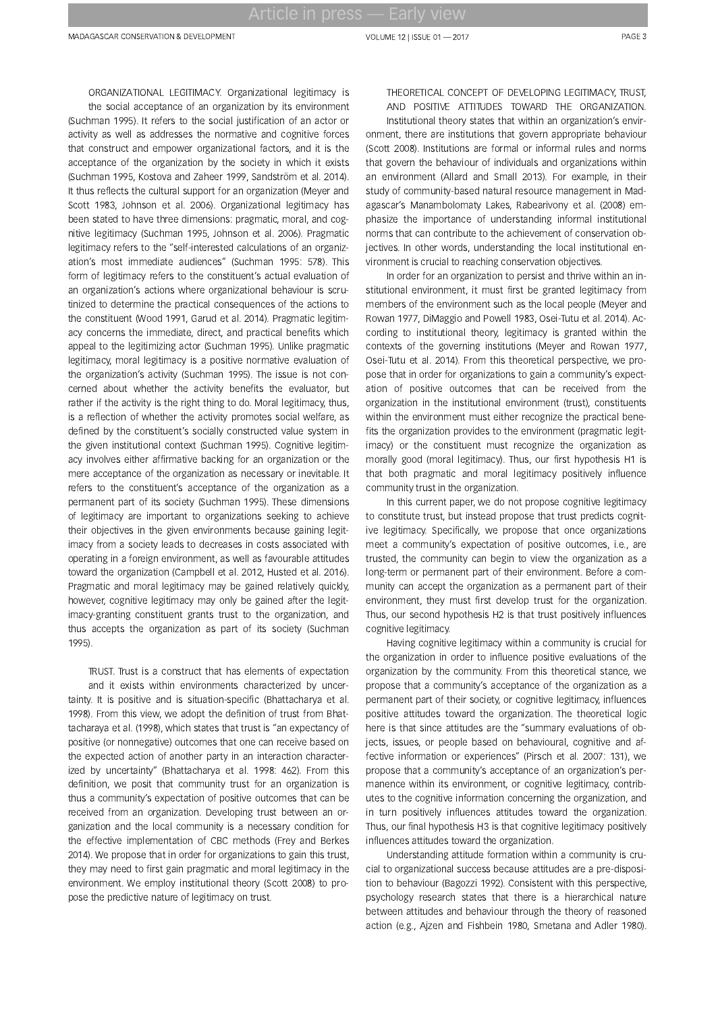ORGANIZATIONAL LEGITIMACY. Organizational legitimacy is the social acceptance of an organization by its environment (Suchman 1995). It refers to the social justification of an actor or activity as well as addresses the normative and cognitive forces that construct and empower organizational factors, and it is the acceptance of the organization by the society in which it exists (Suchman 1995, Kostova and Zaheer 1999, Sandström et al. 2014). It thus reflects the cultural support for an organization (Meyer and Scott 1983, Johnson et al. 2006). Organizational legitimacy has been stated to have three dimensions: pragmatic, moral, and cognitive legitimacy (Suchman 1995, Johnson et al. 2006). Pragmatic legitimacy refers to the "self-interested calculations of an organization's most immediate audiences" (Suchman 1995: 578). This form of legitimacy refers to the constituent's actual evaluation of an organization's actions where organizational behaviour is scrutinized to determine the practical consequences of the actions to the constituent (Wood 1991, Garud et al. 2014). Pragmatic legitimacy concerns the immediate, direct, and practical benefits which appeal to the legitimizing actor (Suchman 1995). Unlike pragmatic legitimacy, moral legitimacy is a positive normative evaluation of the organization's activity (Suchman 1995). The issue is not concerned about whether the activity benefits the evaluator, but rather if the activity is the right thing to do. Moral legitimacy, thus, is a reflection of whether the activity promotes social welfare, as defined by the constituent's socially constructed value system in the given institutional context (Suchman 1995). Cognitive legitimacy involves either affirmative backing for an organization or the mere acceptance of the organization as necessary or inevitable. It refers to the constituent's acceptance of the organization as a permanent part of its society (Suchman 1995). These dimensions of legitimacy are important to organizations seeking to achieve their objectives in the given environments because gaining legitimacy from a society leads to decreases in costs associated with operating in a foreign environment, as well as favourable attitudes toward the organization (Campbell et al. 2012, Husted et al. 2016). Pragmatic and moral legitimacy may be gained relatively quickly, however, cognitive legitimacy may only be gained after the legitimacy-granting constituent grants trust to the organization, and thus accepts the organization as part of its society (Suchman 1995).

TRUST. Trust is a construct that has elements of expectation and it exists within environments characterized by uncertainty. It is positive and is situation-specific (Bhattacharya et al. 1998). From this view, we adopt the definition of trust from Bhattacharaya et al. (1998), which states that trust is "an expectancy of positive (or nonnegative) outcomes that one can receive based on the expected action of another party in an interaction characterized by uncertainty" (Bhattacharya et al. 1998: 462). From this definition, we posit that community trust for an organization is thus a community's expectation of positive outcomes that can be received from an organization. Developing trust between an organization and the local community is a necessary condition for the effective implementation of CBC methods (Frey and Berkes 2014). We propose that in order for organizations to gain this trust, they may need to first gain pragmatic and moral legitimacy in the environment. We employ institutional theory (Scott 2008) to propose the predictive nature of legitimacy on trust.

THEORETICAL CONCEPT OF DEVELOPING LEGITIMACY, TRUST, AND POSITIVE ATTITUDES TOWARD THE ORGANIZATION.

Institutional theory states that within an organization's environment, there are institutions that govern appropriate behaviour (Scott 2008). Institutions are formal or informal rules and norms that govern the behaviour of individuals and organizations within an environment (Allard and Small 2013). For example, in their study of community-based natural resource management in Madagascar's Manambolomaty Lakes, Rabearivony et al. (2008) emphasize the importance of understanding informal institutional norms that can contribute to the achievement of conservation objectives. In other words, understanding the local institutional environment is crucial to reaching conservation objectives.

In order for an organization to persist and thrive within an institutional environment, it must first be granted legitimacy from members of the environment such as the local people (Meyer and Rowan 1977, DiMaggio and Powell 1983, Osei-Tutu et al. 2014). According to institutional theory, legitimacy is granted within the contexts of the governing institutions (Meyer and Rowan 1977, Osei-Tutu et al. 2014). From this theoretical perspective, we propose that in order for organizations to gain a community's expectation of positive outcomes that can be received from the organization in the institutional environment (trust), constituents within the environment must either recognize the practical benefits the organization provides to the environment (pragmatic legitimacy) or the constituent must recognize the organization as morally good (moral legitimacy). Thus, our first hypothesis H1 is that both pragmatic and moral legitimacy positively influence community trust in the organization.

In this current paper, we do not propose cognitive legitimacy to constitute trust, but instead propose that trust predicts cognitive legitimacy. Specifically, we propose that once organizations meet a community's expectation of positive outcomes, i.e., are trusted, the community can begin to view the organization as a long-term or permanent part of their environment. Before a community can accept the organization as a permanent part of their environment, they must first develop trust for the organization. Thus, our second hypothesis H2 is that trust positively influences cognitive legitimacy.

Having cognitive legitimacy within a community is crucial for the organization in order to influence positive evaluations of the organization by the community. From this theoretical stance, we propose that a community's acceptance of the organization as a permanent part of their society, or cognitive legitimacy, influences positive attitudes toward the organization. The theoretical logic here is that since attitudes are the "summary evaluations of objects, issues, or people based on behavioural, cognitive and affective information or experiences" (Pirsch et al. 2007: 131), we propose that a community's acceptance of an organization's permanence within its environment, or cognitive legitimacy, contributes to the cognitive information concerning the organization, and in turn positively influences attitudes toward the organization. Thus, our final hypothesis H3 is that cognitive legitimacy positively influences attitudes toward the organization.

Understanding attitude formation within a community is crucial to organizational success because attitudes are a pre-disposition to behaviour (Bagozzi 1992). Consistent with this perspective, psychology research states that there is a hierarchical nature between attitudes and behaviour through the theory of reasoned action (e.g., Ajzen and Fishbein 1980, Smetana and Adler 1980).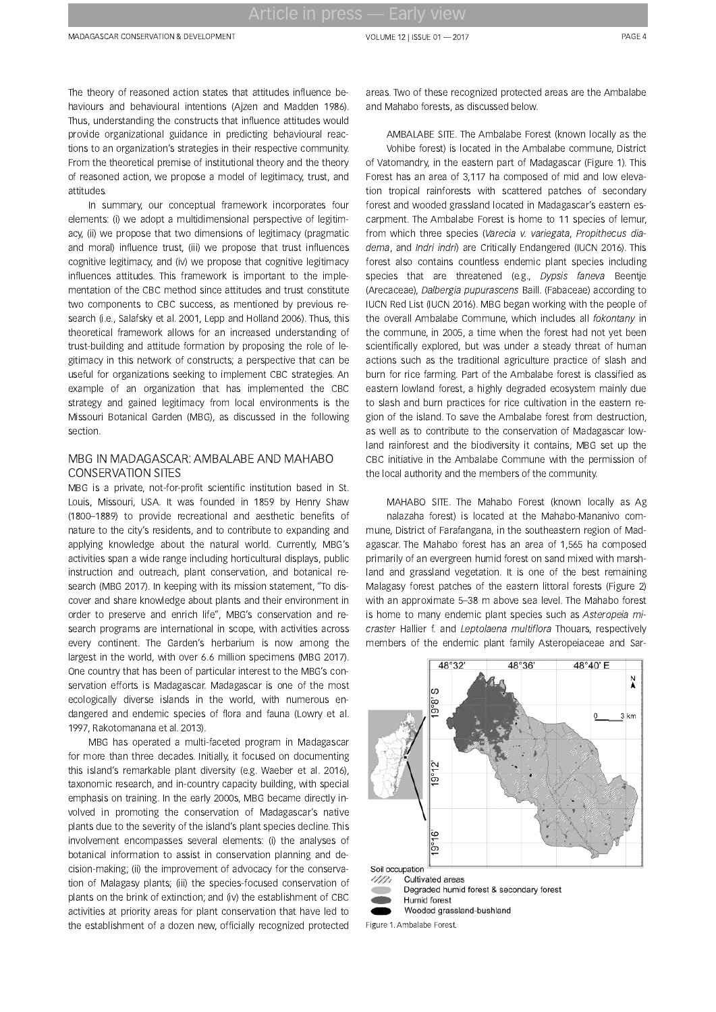The theory of reasoned action states that attitudes influence behaviours and behavioural intentions (Ajzen and Madden 1986). Thus, understanding the constructs that influence attitudes would provide organizational guidance in predicting behavioural reactions to an organization's strategies in their respective community. From the theoretical premise of institutional theory and the theory of reasoned action, we propose a model of legitimacy, trust, and attitudes.

In summary, our conceptual framework incorporates four elements: (i) we adopt a multidimensional perspective of legitimacy, (ii) we propose that two dimensions of legitimacy (pragmatic and moral) influence trust, (iii) we propose that trust influences cognitive legitimacy, and (iv) we propose that cognitive legitimacy influences attitudes. This framework is important to the implementation of the CBC method since attitudes and trust constitute two components to CBC success, as mentioned by previous research (i.e., Salafsky et al. 2001, Lepp and Holland 2006). Thus, this theoretical framework allows for an increased understanding of trust-building and attitude formation by proposing the role of legitimacy in this network of constructs; a perspective that can be useful for organizations seeking to implement CBC strategies. An example of an organization that has implemented the CBC strategy and gained legitimacy from local environments is the Missouri Botanical Garden (MBG), as discussed in the following section.

# MBG IN MADAGASCAR: AMBALABE AND MAHABO **CONSERVATION SITES**

MBG is a private, not-for-profit scientific institution based in St. Louis, Missouri, USA. It was founded in 1859 by Henry Shaw (1800-1889) to provide recreational and aesthetic benefits of nature to the city's residents, and to contribute to expanding and applying knowledge about the natural world. Currently, MBG's activities span a wide range including horticultural displays, public instruction and outreach, plant conservation, and botanical research (MBG 2017). In keeping with its mission statement, "To discover and share knowledge about plants and their environment in order to preserve and enrich life", MBG's conservation and research programs are international in scope, with activities across every continent. The Garden's herbarium is now among the largest in the world, with over 6.6 million specimens (MBG 2017). One country that has been of particular interest to the MBG's conservation efforts is Madagascar. Madagascar is one of the most ecologically diverse islands in the world, with numerous endangered and endemic species of flora and fauna (Lowry et al. 1997, Rakotomanana et al. 2013).

MBG has operated a multi-faceted program in Madagascar for more than three decades. Initially, it focused on documenting this island's remarkable plant diversity (e.g. Waeber et al. 2016), taxonomic research, and in-country capacity building, with special emphasis on training. In the early 2000s, MBG became directly involved in promoting the conservation of Madagascar's native plants due to the severity of the island's plant species decline. This involvement encompasses several elements: (i) the analyses of botanical information to assist in conservation planning and decision-making; (ii) the improvement of advocacy for the conservation of Malagasy plants; (iii) the species-focused conservation of plants on the brink of extinction; and (iv) the establishment of CBC activities at priority areas for plant conservation that have led to the establishment of a dozen new, officially recognized protected

areas. Two of these recognized protected areas are the Ambalabe and Mahabo forests, as discussed below.

AMBALABE SITE. The Ambalabe Forest (known locally as the Vohibe forest) is located in the Ambalabe commune, District of Vatomandry, in the eastern part of Madagascar (Figure 1). This Forest has an area of 3,117 ha composed of mid and low elevation tropical rainforests with scattered patches of secondary forest and wooded grassland located in Madagascar's eastern escarpment. The Ambalabe Forest is home to 11 species of lemur. from which three species (Varecia v. variegata, Propithecus diadema, and Indri indri) are Critically Endangered (IUCN 2016). This forest also contains countless endemic plant species including species that are threatened (e.g., Dypsis faneva Beentje (Arecaceae), Dalbergia pupurascens Baill. (Fabaceae) according to IUCN Red List (IUCN 2016). MBG began working with the people of the overall Ambalabe Commune, which includes all fokontany in the commune, in 2005, a time when the forest had not yet been scientifically explored, but was under a steady threat of human actions such as the traditional agriculture practice of slash and burn for rice farming. Part of the Ambalabe forest is classified as eastern lowland forest, a highly degraded ecosystem mainly due to slash and burn practices for rice cultivation in the eastern region of the island. To save the Ambalabe forest from destruction, as well as to contribute to the conservation of Madagascar lowland rainforest and the biodiversity it contains. MBG set up the CBC initiative in the Ambalabe Commune with the permission of the local authority and the members of the community.

MAHABO SITE. The Mahabo Forest (known locally as Ag nalazaha forest) is located at the Mahabo-Mananivo commune, District of Farafangana, in the southeastern region of Madagascar. The Mahabo forest has an area of 1,565 ha composed primarily of an evergreen humid forest on sand mixed with marshland and grassland vegetation. It is one of the best remaining Malagasy forest patches of the eastern littoral forests (Figure 2) with an approximate 5–38 m above sea level. The Mahabo forest is home to many endemic plant species such as Asteropeia micraster Hallier f. and Leptolaena multiflora Thouars, respectively members of the endemic plant family Asteropeiaceae and Sar-

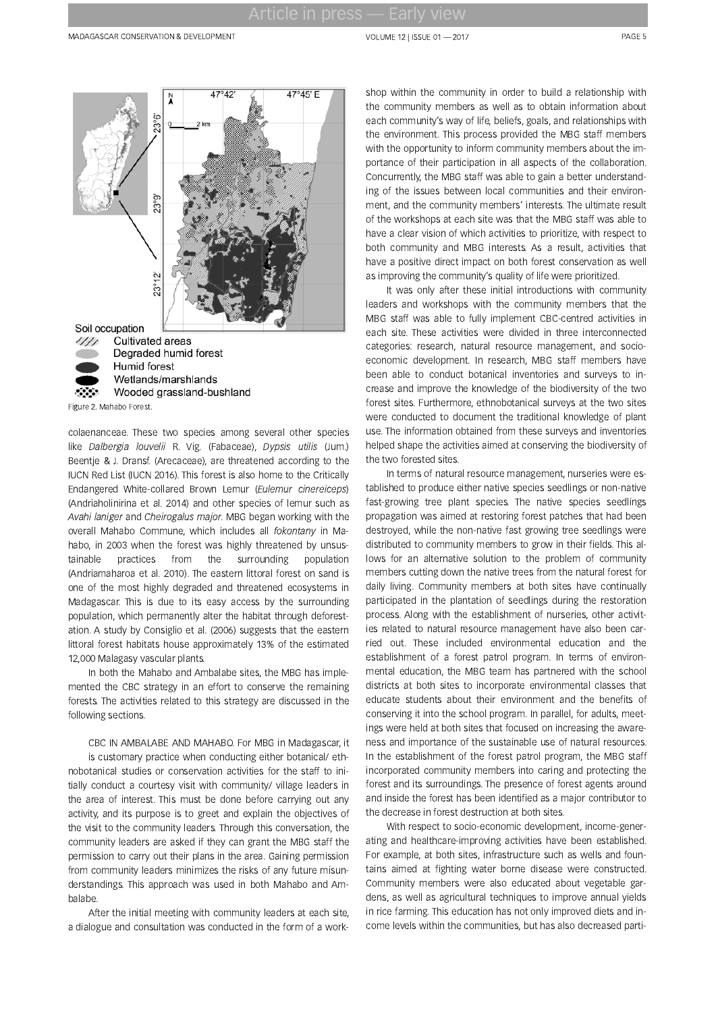

Figure 2. Mahabo Forest.

colaenanceae. These two species among several other species like Dalbergia louvelii R. Vig. (Fabaceae), Dypsis utilis (Jum.) Beentje & J. Dransf. (Arecaceae), are threatened according to the IUCN Red List (IUCN 2016). This forest is also home to the Critically Endangered White-collared Brown Lemur (Eulemur cinereiceps) (Andriaholinirina et al. 2014) and other species of lemur such as Avahi laniger and Cheirogalus major. MBG began working with the overall Mahabo Commune, which includes all fokontany in Mahabo, in 2003 when the forest was highly threatened by unsuspractices from the surrounding tainable population (Andriamaharoa et al. 2010). The eastern littoral forest on sand is one of the most highly degraded and threatened ecosystems in Madagascar. This is due to its easy access by the surrounding population, which permanently alter the habitat through deforestation. A study by Consiglio et al. (2006) suggests that the eastern littoral forest habitats house approximately 13% of the estimated 12,000 Malagasy vascular plants.

In both the Mahabo and Ambalabe sites, the MBG has implemented the CBC strategy in an effort to conserve the remaining forests. The activities related to this strategy are discussed in the following sections.

CBC IN AMBALABE AND MAHABO. For MBG in Madagascar, it is customary practice when conducting either botanical/ethnobotanical studies or conservation activities for the staff to initially conduct a courtesy visit with community/ village leaders in the area of interest. This must be done before carrying out any activity, and its purpose is to greet and explain the objectives of the visit to the community leaders. Through this conversation, the community leaders are asked if they can grant the MBG staff the permission to carry out their plans in the area. Gaining permission from community leaders minimizes the risks of any future misunderstandings. This approach was used in both Mahabo and Ambalabe.

After the initial meeting with community leaders at each site, a dialogue and consultation was conducted in the form of a workshop within the community in order to build a relationship with the community members as well as to obtain information about each community's way of life, beliefs, goals, and relationships with the environment. This process provided the MBG staff members with the opportunity to inform community members about the importance of their participation in all aspects of the collaboration. Concurrently, the MBG staff was able to gain a better understanding of the issues between local communities and their environment, and the community members' interests. The ultimate result of the workshops at each site was that the MBG staff was able to have a clear vision of which activities to prioritize, with respect to both community and MBG interests. As a result, activities that have a positive direct impact on both forest conservation as well as improving the community's quality of life were prioritized.

It was only after these initial introductions with community leaders and workshops with the community members that the MBG staff was able to fully implement CBC-centred activities in each site. These activities were divided in three interconnected categories: research, natural resource management, and socioeconomic development. In research, MBG staff members have been able to conduct botanical inventories and surveys to increase and improve the knowledge of the biodiversity of the two forest sites. Furthermore, ethnobotanical surveys at the two sites were conducted to document the traditional knowledge of plant use. The information obtained from these surveys and inventories helped shape the activities aimed at conserving the biodiversity of the two forested sites.

In terms of natural resource management, nurseries were established to produce either native species seedlings or non-native fast-growing tree plant species. The native species seedlings propagation was aimed at restoring forest patches that had been destroyed, while the non-native fast growing tree seedlings were distributed to community members to grow in their fields. This allows for an alternative solution to the problem of community members cutting down the native trees from the natural forest for daily living. Community members at both sites have continually participated in the plantation of seedlings during the restoration process. Along with the establishment of nurseries, other activities related to natural resource management have also been carried out. These included environmental education and the establishment of a forest patrol program. In terms of environmental education, the MBG team has partnered with the school districts at both sites to incorporate environmental classes that educate students about their environment and the benefits of conserving it into the school program. In parallel, for adults, meetings were held at both sites that focused on increasing the awareness and importance of the sustainable use of natural resources. In the establishment of the forest patrol program, the MBG staff incorporated community members into caring and protecting the forest and its surroundings. The presence of forest agents around and inside the forest has been identified as a major contributor to the decrease in forest destruction at both sites.

With respect to socio-economic development, income-generating and healthcare-improving activities have been established. For example, at both sites, infrastructure such as wells and fountains aimed at fighting water borne disease were constructed. Community members were also educated about vegetable gardens, as well as agricultural techniques to improve annual yields in rice farming. This education has not only improved diets and income levels within the communities, but has also decreased parti-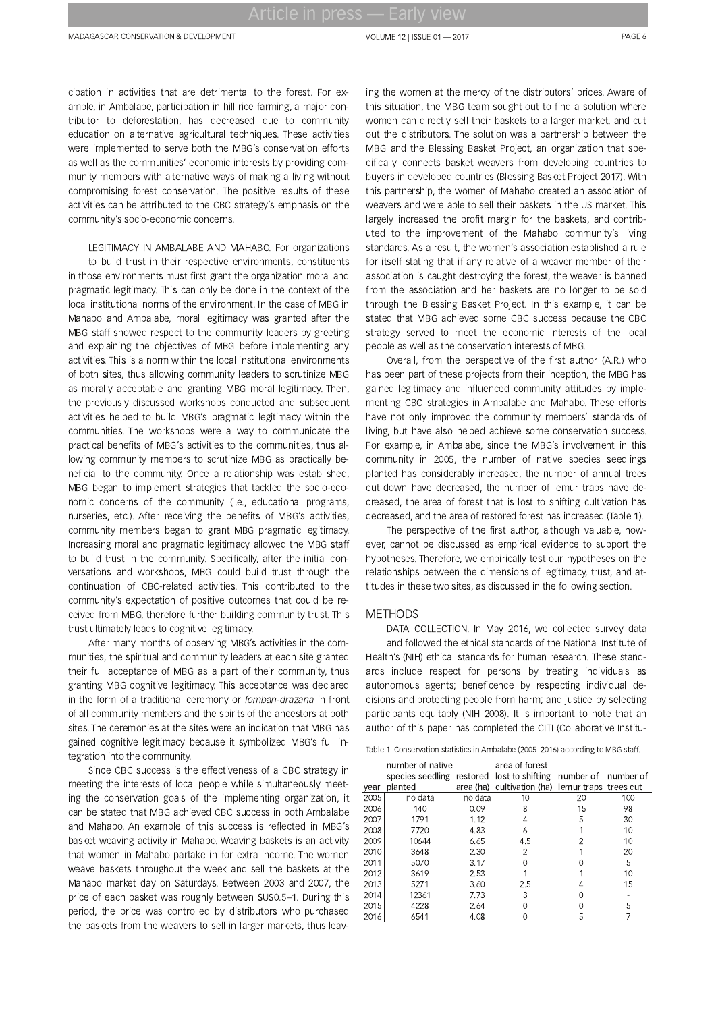cipation in activities that are detrimental to the forest. For example, in Ambalabe, participation in hill rice farming, a major contributor to deforestation, has decreased due to community education on alternative agricultural techniques. These activities were implemented to serve both the MBG's conservation efforts as well as the communities' economic interests by providing community members with alternative ways of making a living without compromising forest conservation. The positive results of these activities can be attributed to the CBC strategy's emphasis on the community's socio-economic concerns.

LEGITIMACY IN AMBALABE AND MAHABO. For organizations to build trust in their respective environments, constituents in those environments must first grant the organization moral and pragmatic legitimacy. This can only be done in the context of the local institutional norms of the environment. In the case of MBG in Mahabo and Ambalabe, moral legitimacy was granted after the MBG staff showed respect to the community leaders by greeting and explaining the objectives of MBG before implementing any activities. This is a norm within the local institutional environments of both sites, thus allowing community leaders to scrutinize MBG as morally acceptable and granting MBG moral legitimacy. Then, the previously discussed workshops conducted and subsequent activities helped to build MBG's pragmatic legitimacy within the communities. The workshops were a way to communicate the practical benefits of MBG's activities to the communities, thus allowing community members to scrutinize MBG as practically beneficial to the community. Once a relationship was established, MBG began to implement strategies that tackled the socio-economic concerns of the community (i.e., educational programs, nurseries, etc.). After receiving the benefits of MBG's activities, community members began to grant MBG pragmatic legitimacy. Increasing moral and pragmatic legitimacy allowed the MBG staff to build trust in the community. Specifically, after the initial conversations and workshops, MBG could build trust through the continuation of CBC-related activities. This contributed to the community's expectation of positive outcomes that could be received from MBG, therefore further building community trust. This trust ultimately leads to cognitive legitimacy.

After many months of observing MBG's activities in the communities, the spiritual and community leaders at each site granted their full acceptance of MBG as a part of their community, thus granting MBG cognitive legitimacy. This acceptance was declared in the form of a traditional ceremony or fomban-drazana in front of all community members and the spirits of the ancestors at both sites. The ceremonies at the sites were an indication that MBG has gained cognitive legitimacy because it symbolized MBG's full integration into the community.

Since CBC success is the effectiveness of a CBC strategy in meeting the interests of local people while simultaneously meeting the conservation goals of the implementing organization, it can be stated that MBG achieved CBC success in both Ambalabe and Mahabo. An example of this success is reflected in MBG's basket weaving activity in Mahabo. Weaving baskets is an activity that women in Mahabo partake in for extra income. The women weave baskets throughout the week and sell the baskets at the Mahabo market day on Saturdays. Between 2003 and 2007, the price of each basket was roughly between \$US0.5-1. During this period, the price was controlled by distributors who purchased the baskets from the weavers to sell in larger markets, thus leaving the women at the mercy of the distributors' prices. Aware of this situation, the MBG team sought out to find a solution where women can directly sell their baskets to a larger market, and cut out the distributors. The solution was a partnership between the MBG and the Blessing Basket Project, an organization that specifically connects basket weavers from developing countries to buyers in developed countries (Blessing Basket Project 2017). With this partnership, the women of Mahabo created an association of weavers and were able to sell their baskets in the US market. This largely increased the profit margin for the baskets, and contributed to the improvement of the Mahabo community's living standards. As a result, the women's association established a rule for itself stating that if any relative of a weaver member of their association is caught destroying the forest, the weaver is banned from the association and her baskets are no longer to be sold through the Blessing Basket Project. In this example, it can be stated that MBG achieved some CBC success because the CBC strategy served to meet the economic interests of the local people as well as the conservation interests of MBG.

Overall, from the perspective of the first author (A.R.) who has been part of these projects from their inception, the MBG has gained legitimacy and influenced community attitudes by implementing CBC strategies in Ambalabe and Mahabo. These efforts have not only improved the community members' standards of living, but have also helped achieve some conservation success. For example, in Ambalabe, since the MBG's involvement in this community in 2005, the number of native species seedlings planted has considerably increased, the number of annual trees cut down have decreased, the number of lemur traps have decreased, the area of forest that is lost to shifting cultivation has decreased, and the area of restored forest has increased (Table 1).

The perspective of the first author, although valuable, however, cannot be discussed as empirical evidence to support the hypotheses. Therefore, we empirically test our hypotheses on the relationships between the dimensions of legitimacy, trust, and attitudes in these two sites, as discussed in the following section.

### **MFTHODS**

DATA COLLECTION. In May 2016, we collected survey data and followed the ethical standards of the National Institute of Health's (NIH) ethical standards for human research. These standards include respect for persons by treating individuals as autonomous agents; beneficence by respecting individual decisions and protecting people from harm; and justice by selecting participants equitably (NIH 2008). It is important to note that an author of this paper has completed the CITI (Collaborative Institu-

|  | Table 1. Conservation statistics in Ambalabe (2005-2016) according to MBG staff |  |  |  |  |  |
|--|---------------------------------------------------------------------------------|--|--|--|--|--|
|--|---------------------------------------------------------------------------------|--|--|--|--|--|

|      | number of native |           | area of forest            |                       |           |
|------|------------------|-----------|---------------------------|-----------------------|-----------|
|      | species seedling |           | restored lost to shifting | number of             | number of |
| year | planted          | area (ha) | cultivation (ha)          | lemur traps trees cut |           |
| 2005 | no data          | no data   | 10                        | 20                    | 100       |
| 2006 | 140              | 0.09      | 8                         | 15                    | 98        |
| 2007 | 1791             | 1.12      | 4                         | 5                     | 30        |
| 2008 | 7720             | 4.83      | 6                         |                       | 10        |
| 2009 | 10644            | 6.65      | 4.5                       |                       | 10        |
| 2010 | 3648             | 2.30      | 2                         |                       | 20        |
| 2011 | 5070             | 3.17      |                           |                       | 5         |
| 2012 | 3619             | 2.53      |                           |                       | 10        |
| 2013 | 5271             | 3.60      | 2.5                       |                       | 15        |
| 2014 | 12361            | 7.73      | 3                         |                       |           |
| 2015 | 4228             | 2.64      |                           |                       | 5         |
| 2016 | 6541             | 4.08      |                           | 5                     |           |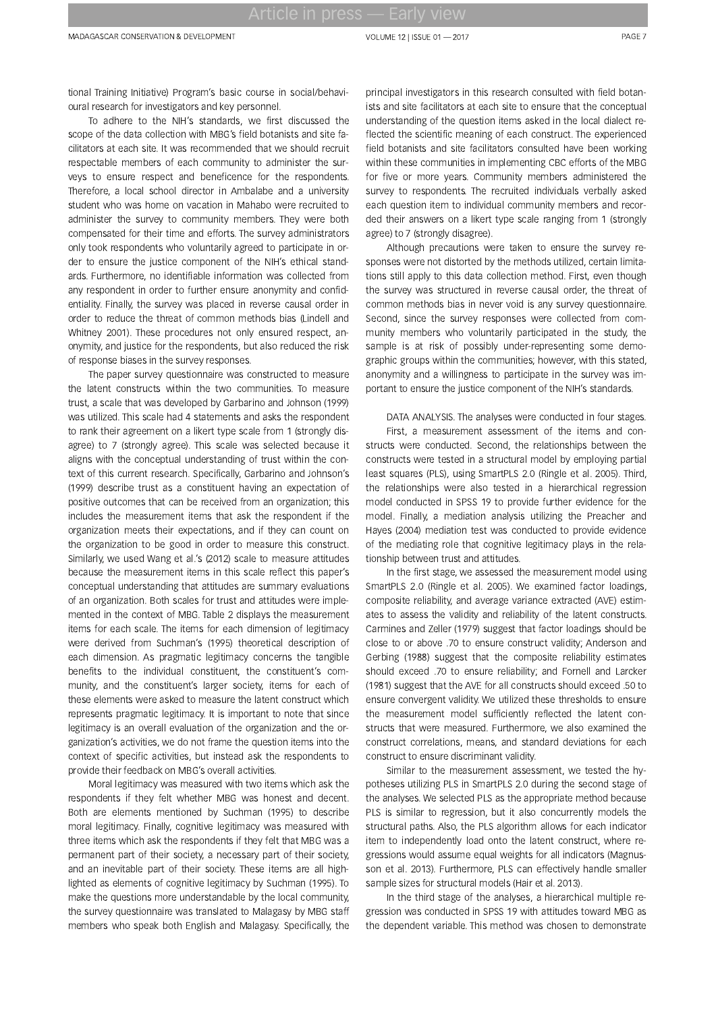tional Training Initiative) Program's basic course in social/behavi-

oural research for investigators and key personnel. To adhere to the NIH's standards, we first discussed the scope of the data collection with MBG's field botanists and site facilitators at each site. It was recommended that we should recruit respectable members of each community to administer the surveys to ensure respect and beneficence for the respondents. Therefore, a local school director in Ambalabe and a university student who was home on vacation in Mahabo were recruited to administer the survey to community members. They were both compensated for their time and efforts. The survey administrators only took respondents who voluntarily agreed to participate in order to ensure the justice component of the NIH's ethical standards. Furthermore, no identifiable information was collected from any respondent in order to further ensure anonymity and confidentiality. Finally, the survey was placed in reverse causal order in order to reduce the threat of common methods bias (Lindell and Whitney 2001). These procedures not only ensured respect, anonymity, and justice for the respondents, but also reduced the risk of response biases in the survey responses.

The paper survey questionnaire was constructed to measure the latent constructs within the two communities. To measure trust, a scale that was developed by Garbarino and Johnson (1999) was utilized. This scale had 4 statements and asks the respondent to rank their agreement on a likert type scale from 1 (strongly disagree) to 7 (strongly agree). This scale was selected because it aligns with the conceptual understanding of trust within the context of this current research. Specifically, Garbarino and Johnson's (1999) describe trust as a constituent having an expectation of positive outcomes that can be received from an organization; this includes the measurement items that ask the respondent if the organization meets their expectations, and if they can count on the organization to be good in order to measure this construct. Similarly, we used Wang et al.'s (2012) scale to measure attitudes because the measurement items in this scale reflect this paper's conceptual understanding that attitudes are summary evaluations of an organization. Both scales for trust and attitudes were implemented in the context of MBG. Table 2 displays the measurement items for each scale. The items for each dimension of legitimacy were derived from Suchman's (1995) theoretical description of each dimension. As pragmatic legitimacy concerns the tangible benefits to the individual constituent, the constituent's community, and the constituent's larger society, items for each of these elements were asked to measure the latent construct which represents pragmatic legitimacy. It is important to note that since legitimacy is an overall evaluation of the organization and the organization's activities, we do not frame the question items into the context of specific activities, but instead ask the respondents to provide their feedback on MBG's overall activities.

Moral legitimacy was measured with two items which ask the respondents if they felt whether MBG was honest and decent. Both are elements mentioned by Suchman (1995) to describe moral legitimacy. Finally, cognitive legitimacy was measured with three items which ask the respondents if they felt that MBG was a permanent part of their society, a necessary part of their society, and an inevitable part of their society. These items are all highlighted as elements of cognitive legitimacy by Suchman (1995). To make the questions more understandable by the local community, the survey questionnaire was translated to Malagasy by MBG staff members who speak both English and Malagasy. Specifically, the principal investigators in this research consulted with field botanists and site facilitators at each site to ensure that the conceptual understanding of the question items asked in the local dialect reflected the scientific meaning of each construct. The experienced field botanists and site facilitators consulted have been working within these communities in implementing CBC efforts of the MBG for five or more years. Community members administered the survey to respondents. The recruited individuals verbally asked each question item to individual community members and recorded their answers on a likert type scale ranging from 1 (strongly agree) to 7 (strongly disagree).

Although precautions were taken to ensure the survey responses were not distorted by the methods utilized, certain limitations still apply to this data collection method. First, even though the survey was structured in reverse causal order, the threat of common methods bias in never void is any survey questionnaire. Second, since the survey responses were collected from community members who voluntarily participated in the study, the sample is at risk of possibly under-representing some demographic groups within the communities; however, with this stated, anonymity and a willingness to participate in the survey was important to ensure the justice component of the NIH's standards.

DATA ANALYSIS. The analyses were conducted in four stages.

First, a measurement assessment of the items and constructs were conducted. Second, the relationships between the constructs were tested in a structural model by employing partial least squares (PLS), using SmartPLS 2.0 (Ringle et al. 2005). Third, the relationships were also tested in a hierarchical regression model conducted in SPSS 19 to provide further evidence for the model. Finally, a mediation analysis utilizing the Preacher and Hayes (2004) mediation test was conducted to provide evidence of the mediating role that cognitive legitimacy plays in the relationship between trust and attitudes.

In the first stage, we assessed the measurement model using SmartPLS 2.0 (Ringle et al. 2005). We examined factor loadings, composite reliability, and average variance extracted (AVE) estimates to assess the validity and reliability of the latent constructs. Carmines and Zeller (1979) suggest that factor loadings should be close to or above .70 to ensure construct validity; Anderson and Gerbing (1988) suggest that the composite reliability estimates should exceed .70 to ensure reliability; and Fornell and Larcker (1981) suggest that the AVE for all constructs should exceed .50 to ensure convergent validity. We utilized these thresholds to ensure the measurement model sufficiently reflected the latent constructs that were measured. Furthermore, we also examined the construct correlations, means, and standard deviations for each construct to ensure discriminant validity.

Similar to the measurement assessment, we tested the hypotheses utilizing PLS in SmartPLS 2.0 during the second stage of the analyses. We selected PLS as the appropriate method because PLS is similar to regression, but it also concurrently models the structural paths. Also, the PLS algorithm allows for each indicator item to independently load onto the latent construct, where regressions would assume equal weights for all indicators (Magnusson et al. 2013). Furthermore, PLS can effectively handle smaller sample sizes for structural models (Hair et al. 2013).

In the third stage of the analyses, a hierarchical multiple regression was conducted in SPSS 19 with attitudes toward MBG as the dependent variable. This method was chosen to demonstrate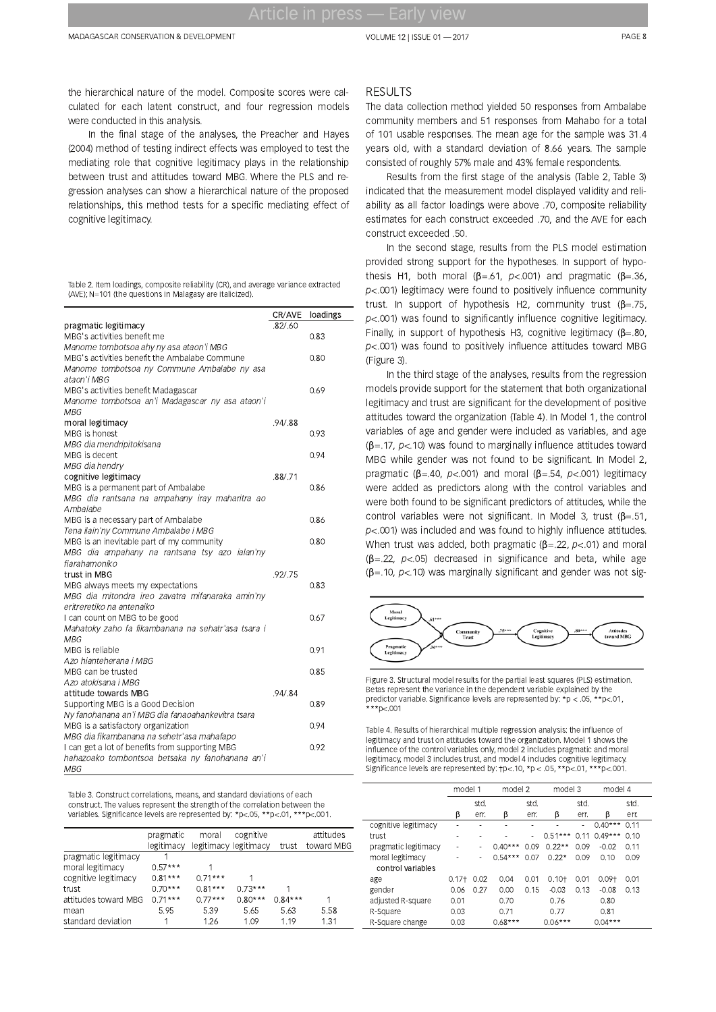the hierarchical nature of the model. Composite scores were calculated for each latent construct, and four regression models were conducted in this analysis.

In the final stage of the analyses, the Preacher and Hayes (2004) method of testing indirect effects was employed to test the mediating role that cognitive legitimacy plays in the relationship between trust and attitudes toward MBG. Where the PLS and regression analyses can show a hierarchical nature of the proposed relationships, this method tests for a specific mediating effect of cognitive legitimacy.

Table 2. Item loadings, composite reliability (CR), and average variance extracted (AVE); N=101 (the questions in Malagasy are italicized).

|                                                    | CR/AVE    | loadings |
|----------------------------------------------------|-----------|----------|
| pragmatic legitimacy                               | .82 / .60 |          |
| MBG's activities benefit me                        |           | 0.83     |
| Manome tombotsoa ahy ny asa ataon'i MBG            |           |          |
| MBG's activities benefit the Ambalabe Commune      |           | 0.80     |
| Manome tombotsoa ny Commune Ambalabe ny asa        |           |          |
| ataon'i MBG                                        |           |          |
| MBG's activities benefit Madagascar                |           | 0.69     |
| Manome tombotsoa an'i Madagascar ny asa ataon'i    |           |          |
| MBG                                                |           |          |
| moral legitimacy                                   | .94/.88   |          |
| MBG is honest                                      |           | 0.93     |
| MBG dia mendripitokisana                           |           |          |
| MBG is decent                                      |           | 0.94     |
| MBG dia hendry                                     |           |          |
| cognitive legitimacy                               | .88/.71   |          |
| MBG is a permanent part of Ambalabe                |           | 0.86     |
| MBG dia rantsana na ampahany iray maharitra ao     |           |          |
| Ambalabe                                           |           |          |
| MBG is a necessary part of Ambalabe                |           | 0.86     |
| Tena ilain'ny Commune Ambalabe i MBG               |           |          |
| MBG is an inevitable part of my community          |           | 0.80     |
| MBG dia ampahany na rantsana tsy azo ialan'ny      |           |          |
| fiarahamoniko                                      |           |          |
| trust in MBG                                       | .92/.75   |          |
| MBG always meets my expectations                   |           | 0.83     |
| MBG dia mitondra ireo zavatra mifanaraka amin'ny   |           |          |
| eritreretiko na antenaiko                          |           |          |
| I can count on MBG to be good                      |           | 0.67     |
| Mahatoky zaho fa fikambanana na sehatr'asa tsara i |           |          |
| MBG                                                |           |          |
| MBG is reliable                                    |           | 0.91     |
| Azo hianteherana i MBG                             |           |          |
| MBG can be trusted                                 |           | 0.85     |
| Azo atokisana i MBG                                |           |          |
| attitude towards MBG                               | .94/.84   |          |
| Supporting MBG is a Good Decision                  |           | 0.89     |
| Ny fanohanana an'i MBG dia fanaoahankevitra tsara  |           |          |
| MBG is a satisfactory organization                 |           | 0.94     |
| MBG dia fikambanana na sehetr'asa mahafapo         |           |          |
| I can get a lot of benefits from supporting MBG    |           | 0.92     |
| hahazoako tombontsoa betsaka ny fanohanana an'i    |           |          |
| MBG                                                |           |          |

Table 3. Construct correlations, means, and standard deviations of each construct. The values represent the strength of the correlation between the variables. Significance levels are represented by: \*p<.05, \*\*p<.01, \*\*\*p<.001.

|                      | pragmatic<br>legitimacy | moral     | cognitive<br>legitimacy legitimacy | trust     | attitudes<br>toward MBG |
|----------------------|-------------------------|-----------|------------------------------------|-----------|-------------------------|
| pragmatic legitimacy |                         |           |                                    |           |                         |
| moral legitimacy     | $0.57***$               |           |                                    |           |                         |
| cognitive legitimacy | $0.81***$               | $0.71***$ |                                    |           |                         |
| trust                | $0.70***$               | $0.81***$ | $0.73***$                          |           |                         |
| attitudes toward MBG | $0.71***$               | $0.77***$ | $0.80***$                          | $0.84***$ | 1                       |
| mean                 | 5.95                    | 5.39      | 5.65                               | 5.63      | 5.58                    |
| standard deviation   |                         | 1.26      | 1.09                               | 1.19      | 1.31                    |

### **RESULTS**

The data collection method yielded 50 responses from Ambalabe community members and 51 responses from Mahabo for a total of 101 usable responses. The mean age for the sample was 31.4 years old, with a standard deviation of 8.66 years. The sample consisted of roughly 57% male and 43% female respondents.

Results from the first stage of the analysis (Table 2, Table 3) indicated that the measurement model displayed validity and reliability as all factor loadings were above .70, composite reliability estimates for each construct exceeded .70, and the AVE for each construct exceeded .50.

In the second stage, results from the PLS model estimation provided strong support for the hypotheses. In support of hypothesis H1, both moral ( $\beta$ =.61,  $p$ <.001) and pragmatic ( $\beta$ =.36,  $p$ <.001) legitimacy were found to positively influence community trust. In support of hypothesis H2, community trust  $(\beta = .75, )$  $p$ <.001) was found to significantly influence cognitive legitimacy. Finally, in support of hypothesis H3, cognitive legitimacy ( $\beta$ =.80,  $p$ <.001) was found to positively influence attitudes toward MBG (Figure 3)

In the third stage of the analyses, results from the regression models provide support for the statement that both organizational legitimacy and trust are significant for the development of positive attitudes toward the organization (Table 4). In Model 1, the control variables of age and gender were included as variables, and age  $(B=.17, p<.10)$  was found to marginally influence attitudes toward MBG while gender was not found to be significant. In Model 2, pragmatic ( $\beta$ =.40,  $p$ <.001) and moral ( $\beta$ =.54,  $p$ <.001) legitimacy were added as predictors along with the control variables and were both found to be significant predictors of attitudes, while the control variables were not significant. In Model 3, trust ( $\beta$ =.51,  $p$ <.001) was included and was found to highly influence attitudes. When trust was added, both pragmatic ( $\beta$ =.22,  $p$ <.01) and moral  $(\beta = .22, p < .05)$  decreased in significance and beta, while age  $(\beta = 10, p < 10)$  was marginally significant and gender was not sig-



Figure 3. Structural model results for the partial least squares (PLS) estimation. Betas represent the variance in the dependent variable explained by the predictor variable. Significance levels are represented by: \*p < .05, \*\*p<.01, \*\*\*p<.001

Table 4. Results of hierarchical multiple regression analysis: the influence of legitimacy and trust on attitudes toward the organization. Model 1 shows the influence of the control variables only, model 2 includes pragmatic and moral legitimacy, model 3 includes trust, and model 4 includes cognitive legitimacy. Significance levels are represented by:  $tp < .10$ , \*p < .05, \*\*p < .01, \*\*\*p < .001.

|                                       | model 1  |      | model 2   |      | model 3   |      | model 4   |      |
|---------------------------------------|----------|------|-----------|------|-----------|------|-----------|------|
|                                       | std.     |      |           | std. |           | std. |           | std. |
|                                       | β        | err. | β         | err. | β         | err. | β         | err. |
| cognitive legitimacy                  |          |      |           |      |           | ٠    | $0.40***$ | 0.11 |
| trust                                 |          |      |           | ٠    | $0.51***$ | 0.11 | $0.49***$ | 0.10 |
| pragmatic legitimacy                  |          | ٠    | $0.40***$ | 0.09 | $0.22**$  | 0.09 | $-0.02$   | 0.11 |
| moral legitimacy<br>control variables |          | ۰    | $0.54***$ | 0.07 | $0.22*$   | 0.09 | 0.10      | 0.09 |
| age                                   | $0.17 +$ | 0.02 | 0.04      | 0.01 | $0.10+$   | 0.01 | $0.09+$   | 0.01 |
| gender                                | 0.06     | 0.27 | 0.00      | 0.15 | $-0.03$   | 0.13 | $-0.08$   | 0.13 |
| adjusted R-square                     | 0.01     |      | 0.70      |      | 0.76      |      | 0.80      |      |
| R-Square                              | 0.03     |      | 0.71      |      | 0.77      |      | 0.81      |      |
| R-Square change                       | 0.03     |      | $0.68***$ |      | $0.06***$ |      | $0.04***$ |      |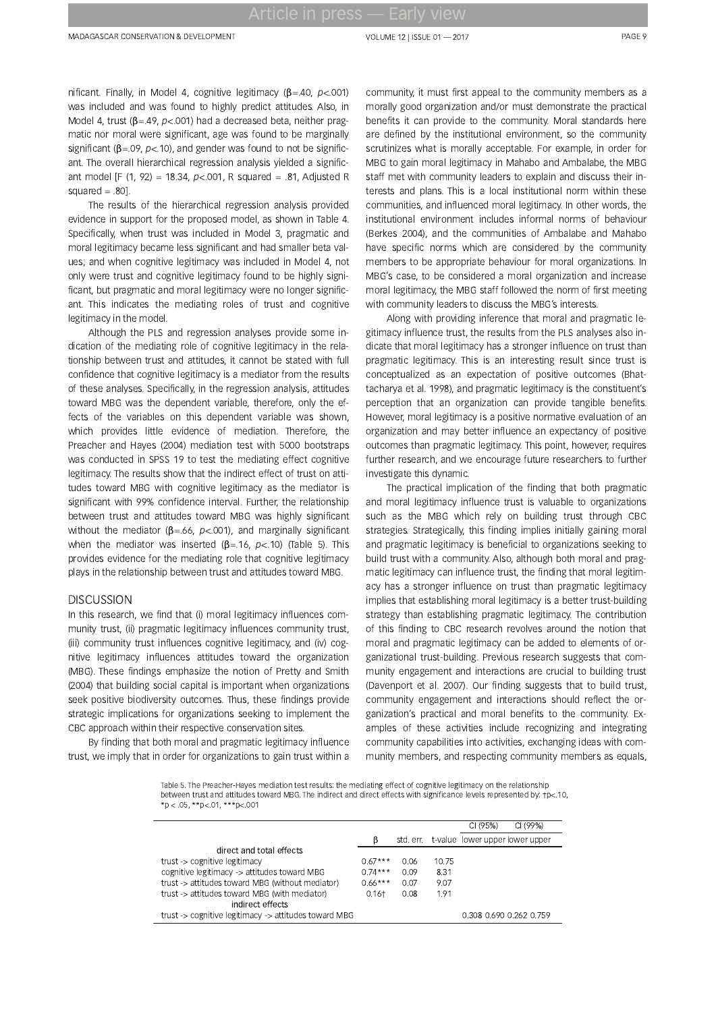nificant. Finally, in Model 4, cognitive legitimacy ( $\beta$ =.40,  $p$ <.001) was included and was found to highly predict attitudes. Also, in Model 4, trust ( $\beta$ =.49,  $p$ <.001) had a decreased beta, neither pragmatic nor moral were significant, age was found to be marginally significant ( $\beta$ =.09,  $p$ <.10), and gender was found to not be significant. The overall hierarchical regression analysis yielded a significant model [F (1, 92) = 18.34,  $p < .001$ , R squared = .81, Adjusted R squared  $= .80$ ].

The results of the hierarchical regression analysis provided evidence in support for the proposed model, as shown in Table 4. Specifically, when trust was included in Model 3, pragmatic and moral legitimacy became less significant and had smaller beta values; and when cognitive legitimacy was included in Model 4, not only were trust and cognitive legitimacy found to be highly significant, but pragmatic and moral legitimacy were no longer significant. This indicates the mediating roles of trust and cognitive legitimacy in the model.

Although the PLS and regression analyses provide some indication of the mediating role of cognitive legitimacy in the relationship between trust and attitudes, it cannot be stated with full confidence that cognitive legitimacy is a mediator from the results of these analyses. Specifically, in the regression analysis, attitudes toward MBG was the dependent variable, therefore, only the effects of the variables on this dependent variable was shown, which provides little evidence of mediation. Therefore, the Preacher and Haves (2004) mediation test with 5000 bootstraps was conducted in SPSS 19 to test the mediating effect cognitive legitimacy. The results show that the indirect effect of trust on attitudes toward MBG with cognitive legitimacy as the mediator is significant with 99% confidence interval. Further, the relationship between trust and attitudes toward MBG was highly significant without the mediator ( $\beta$ =.66,  $p$ <.001), and marginally significant when the mediator was inserted ( $\beta$ =.16,  $p$ <.10) (Table 5). This provides evidence for the mediating role that cognitive legitimacy plays in the relationship between trust and attitudes toward MBG.

### **DISCUSSION**

In this research, we find that (i) moral legitimacy influences community trust, (ii) pragmatic legitimacy influences community trust, (iii) community trust influences cognitive legitimacy, and (iv) cognitive legitimacy influences attitudes toward the organization (MBG). These findings emphasize the notion of Pretty and Smith (2004) that building social capital is important when organizations seek positive biodiversity outcomes. Thus, these findings provide strategic implications for organizations seeking to implement the CBC approach within their respective conservation sites.

By finding that both moral and pragmatic legitimacy influence trust, we imply that in order for organizations to gain trust within a community, it must first appeal to the community members as a morally good organization and/or must demonstrate the practical benefits it can provide to the community. Moral standards here are defined by the institutional environment, so the community scrutinizes what is morally acceptable. For example, in order for MBG to gain moral legitimacy in Mahabo and Ambalabe, the MBG staff met with community leaders to explain and discuss their interests and plans. This is a local institutional norm within these communities, and influenced moral legitimacy. In other words, the institutional environment includes informal norms of behaviour (Berkes 2004), and the communities of Ambalabe and Mahabo have specific norms which are considered by the community members to be appropriate behaviour for moral organizations. In MBG's case, to be considered a moral organization and increase moral legitimacy, the MBG staff followed the norm of first meeting with community leaders to discuss the MBG's interests.

Along with providing inference that moral and pragmatic legitimacy influence trust, the results from the PLS analyses also indicate that moral legitimacy has a stronger influence on trust than pragmatic legitimacy. This is an interesting result since trust is conceptualized as an expectation of positive outcomes (Bhattacharya et al. 1998), and pragmatic legitimacy is the constituent's perception that an organization can provide tangible benefits. However, moral legitimacy is a positive normative evaluation of an organization and may better influence an expectancy of positive outcomes than pragmatic legitimacy. This point, however, requires further research, and we encourage future researchers to further investigate this dynamic.

The practical implication of the finding that both pragmatic and moral legitimacy influence trust is valuable to organizations such as the MBG which rely on building trust through CBC strategies. Strategically, this finding implies initially gaining moral and pragmatic legitimacy is beneficial to organizations seeking to build trust with a community. Also, although both moral and pragmatic legitimacy can influence trust, the finding that moral legitimacy has a stronger influence on trust than pragmatic legitimacy implies that establishing moral legitimacy is a better trust-building strategy than establishing pragmatic legitimacy. The contribution of this finding to CBC research revolves around the notion that moral and pragmatic legitimacy can be added to elements of organizational trust-building. Previous research suggests that community engagement and interactions are crucial to building trust (Davenport et al. 2007). Our finding suggests that to build trust, community engagement and interactions should reflect the organization's practical and moral benefits to the community. Examples of these activities include recognizing and integrating community capabilities into activities, exchanging ideas with community members, and respecting community members as equals,

Table 5. The Preacher-Hayes mediation test results: the mediating effect of cognitive legitimacy on the relationship between trust and attitudes toward MBG. The indirect and direct effects with significance levels represented by: †p<.10, \*p < .05, \*\*p<.01, \*\*\*p<.001

|                                                       |           |      |       | CI (99%)<br>CI (95%)                      |
|-------------------------------------------------------|-----------|------|-------|-------------------------------------------|
|                                                       | B         |      |       | std. err. t-value lower upper lower upper |
| direct and total effects                              |           |      |       |                                           |
| trust -> cognitive legitimacy                         | $0.67***$ | 0.06 | 10.75 |                                           |
| cognitive legitimacy -> attitudes toward MBG          | $0.74***$ | 0.09 | 8.31  |                                           |
| trust -> attitudes toward MBG (without mediator)      | $0.66***$ | 0.07 | 9.07  |                                           |
| trust -> attitudes toward MBG (with mediator)         | $0.16 +$  | 0.08 | 1.91  |                                           |
| indirect effects                                      |           |      |       |                                           |
| trust -> cognitive legitimacy -> attitudes toward MBG |           |      |       | 0.308 0.690 0.262 0.759                   |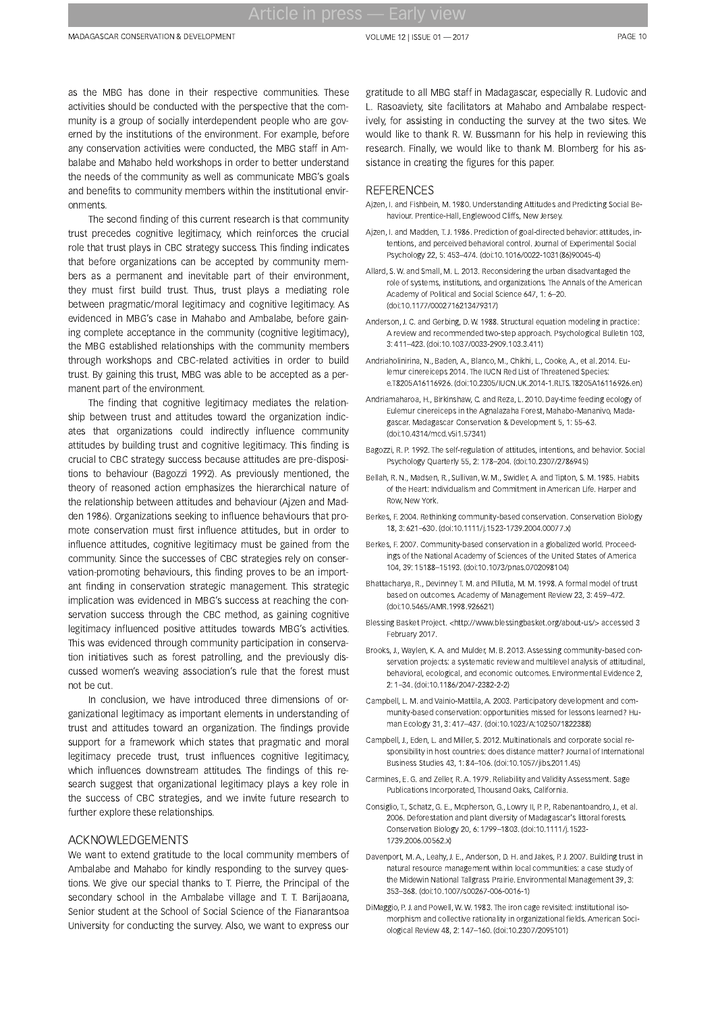as the MBG has done in their respective communities. These activities should be conducted with the perspective that the community is a group of socially interdependent people who are governed by the institutions of the environment. For example, before any conservation activities were conducted, the MBG staff in Ambalabe and Mahabo held workshops in order to better understand the needs of the community as well as communicate MBG's goals and benefits to community members within the institutional environments.

The second finding of this current research is that community trust precedes cognitive legitimacy, which reinforces the crucial role that trust plays in CBC strategy success. This finding indicates that before organizations can be accepted by community members as a permanent and inevitable part of their environment, they must first build trust. Thus, trust plays a mediating role between pragmatic/moral legitimacy and cognitive legitimacy. As evidenced in MBG's case in Mahabo and Ambalabe, before gaining complete acceptance in the community (cognitive legitimacy), the MBG established relationships with the community members through workshops and CBC-related activities in order to build trust. By gaining this trust, MBG was able to be accepted as a permanent part of the environment.

The finding that cognitive legitimacy mediates the relationship between trust and attitudes toward the organization indicates that organizations could indirectly influence community attitudes by building trust and cognitive legitimacy. This finding is crucial to CBC strategy success because attitudes are pre-dispositions to behaviour (Bagozzi 1992). As previously mentioned, the theory of reasoned action emphasizes the hierarchical nature of the relationship between attitudes and behaviour (Ajzen and Madden 1986). Organizations seeking to influence behaviours that promote conservation must first influence attitudes, but in order to influence attitudes, cognitive legitimacy must be gained from the community. Since the successes of CBC strategies rely on conservation-promoting behaviours, this finding proves to be an important finding in conservation strategic management. This strategic implication was evidenced in MBG's success at reaching the conservation success through the CBC method, as gaining cognitive legitimacy influenced positive attitudes towards MBG's activities. This was evidenced through community participation in conservation initiatives such as forest patrolling, and the previously discussed women's weaving association's rule that the forest must not be cut.

In conclusion, we have introduced three dimensions of organizational legitimacy as important elements in understanding of trust and attitudes toward an organization. The findings provide support for a framework which states that pragmatic and moral legitimacy precede trust, trust influences cognitive legitimacy, which influences downstream attitudes. The findings of this research suggest that organizational legitimacy plays a key role in the success of CBC strategies, and we invite future research to further explore these relationships.

# **ACKNOWLEDGEMENTS**

We want to extend gratitude to the local community members of Ambalabe and Mahabo for kindly responding to the survey questions. We give our special thanks to T. Pierre, the Principal of the secondary school in the Ambalabe village and T. T. Barijaoana, Senior student at the School of Social Science of the Fianarantsoa University for conducting the survey. Also, we want to express our gratitude to all MBG staff in Madagascar, especially R. Ludovic and L. Rasoaviety, site facilitators at Mahabo and Ambalabe respectively, for assisting in conducting the survey at the two sites. We would like to thank R. W. Bussmann for his help in reviewing this research. Finally, we would like to thank M. Blomberg for his assistance in creating the figures for this paper.

#### **REFERENCES**

- Ajzen, I. and Fishbein, M. 1980. Understanding Attitudes and Predicting Social Behaviour. Prentice-Hall, Englewood Cliffs, New Jersey.
- Ajzen, I. and Madden, T. J. 1986. Prediction of goal-directed behavior: attitudes, intentions, and perceived behavioral control. Journal of Experimental Social Psychology 22, 5: 453-474. (doi:10.1016/0022-1031(86)90045-4)
- Allard, S. W. and Small, M. L. 2013. Reconsidering the urban disadvantaged the role of systems, institutions, and organizations. The Annals of the American Academy of Political and Social Science 647, 1: 6-20. (doi:10.1177/0002716213479317)
- Anderson, J. C. and Gerbing, D. W. 1988. Structural equation modeling in practice: A review and recommended two-step approach. Psychological Bulletin 103, 3: 411-423. (doi:10.1037/0033-2909.103.3.411)
- Andriaholinirina, N., Baden, A., Blanco, M., Chikhi, L., Cooke, A., et al. 2014. Eulemur cinereicens 2014. The IUCN Red List of Threatened Species: e.T8205A16116926. (doi:10.2305/IUCN.UK.2014-1.RLTS.T8205A16116926.en)
- Andriamaharoa, H., Birkinshaw, C. and Reza, L. 2010. Day-time feeding ecology of Eulemur cinereiceps in the Agnalazaha Forest, Mahabo-Mananivo, Madagascar. Madagascar Conservation & Development 5, 1: 55-63. (doi:10.4314/mcd.v5i1.57341)
- Bagozzi, R. P. 1992. The self-regulation of attitudes, intentions, and behavior. Social Psychology Quarterly 55, 2: 178-204. (doi:10.2307/2786945)
- Bellah, R. N., Madsen, R., Sullivan, W. M., Swidler, A. and Tipton, S. M. 1985. Habits of the Heart: Individualism and Commitment in American Life. Harper and Row. New York
- Berkes, F. 2004. Rethinking community-based conservation. Conservation Biology 18, 3: 621-630. (doi:10.1111/j.1523-1739.2004.00077.x)
- Berkes, F. 2007. Community-based conservation in a globalized world. Proceedings of the National Academy of Sciences of the United States of America 104.39: 15188-15193. (doi:10.1073/pnas.0702098104)
- Bhattacharya, R., Devinney T. M. and Pillutla, M. M. 1998. A formal model of trust based on outcomes. Academy of Management Review 23, 3: 459-472. (doi:10.5465/AMR.1998.926621)
- Blessing Basket Project. <http://www.blessingbasket.org/about-us/>accessed 3 February 2017.
- Brooks, J., Waylen, K. A. and Mulder, M. B. 2013. Assessing community-based conservation projects: a systematic review and multilevel analysis of attitudinal. behavioral, ecological, and economic outcomes. Environmental Evidence 2, 2: 1-34. (doi:10.1186/2047-2382-2-2)
- Campbell, L. M. and Vainio-Mattila, A. 2003. Participatory development and community-based conservation: opportunities missed for lessons learned? Human Ecology 31, 3: 417-437. (doi:10.1023/A:1025071822388)
- Campbell, J., Eden, L. and Miller, S. 2012. Multinationals and corporate social responsibility in host countries: does distance matter? Journal of International Business Studies 43, 1: 84-106. (doi:10.1057/jibs.2011.45)
- Carmines, E. G. and Zeller, R. A. 1979. Reliability and Validity Assessment. Sage Publications Incorporated, Thousand Oaks, California.
- Consiglio, T., Schatz, G. E., Mcpherson, G., Lowry II, P. P., Rabenantoandro, J., et al. 2006. Deforestation and plant diversity of Madagascar's littoral forests. Conservation Biology 20, 6: 1799-1803. (doi:10.1111/j.1523-1739 2006 00562 x)
- Davenport, M. A., Leahy, J. E., Anderson, D. H. and Jakes, P. J. 2007. Building trust in natural resource management within local communities: a case study of the Midewin National Tallgrass Prairie. Environmental Management 39, 3: 353-368 (doi:10 1007/s00267-006-0016-1)
- DiMaggio, P. J. and Powell, W. W. 1983. The iron cage revisited: institutional isomorphism and collective rationality in organizational fields. American Sociological Review 48, 2: 147-160. (doi:10.2307/2095101)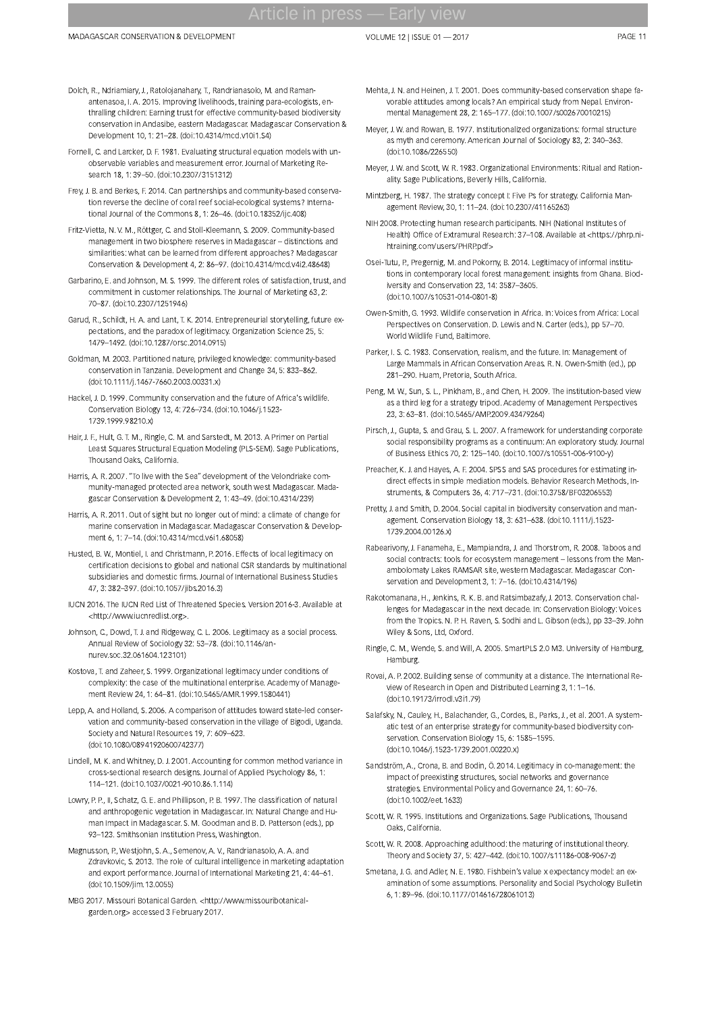- Dolch, R., Ndriamiary, J., Ratolojanahary, T., Randrianasolo, M. and Ramanantenasoa, I. A. 2015. Improving livelihoods, training para-ecologists, enthralling children: Earning trust for effective community-based biodiversity conservation in Andasibe, eastern Madagascar. Madagascar Conservation & Development 10, 1: 21-28. (doi:10.4314/mcd.v10i1.S4)
- Fornell, C. and Larcker, D. F. 1981. Evaluating structural equation models with unobservable variables and measurement error. Journal of Marketing Research 18, 1: 39-50. (doi:10.2307/3151312)
- Frey, J. B. and Berkes, F. 2014. Can partnerships and community-based conservation reverse the decline of coral reef social-ecological systems? International Journal of the Commons 8, 1: 26-46. (doi:10.18352/ijc.408)
- Fritz-Vietta, N. V. M., Röttger, C. and Stoll-Kleemann, S. 2009. Community-based management in two biosphere reserves in Madagascar - distinctions and similarities: what can be learned from different approaches? Madagascar Conservation & Development 4, 2: 86-97. (doi:10.4314/mcd.v4i2.48648)
- Garbarino, E. and Johnson, M. S. 1999. The different roles of satisfaction, trust, and commitment in customer relationships. The Journal of Marketing 63, 2: 70-87. (doi:10.2307/1251946)
- Garud, R., Schildt, H. A. and Lant, T. K. 2014. Entrepreneurial storytelling, future expectations, and the paradox of legitimacy. Organization Science 25, 5: 1479-1492. (doi:10.1287/orsc.2014.0915)
- Goldman, M. 2003. Partitioned nature, privileged knowledge: community-based conservation in Tanzania. Development and Change 34, 5: 833-862. (doi:10.1111/j.1467-7660.2003.00331.x)
- Hackel, J. D. 1999. Community conservation and the future of Africa's wildlife. Conservation Biology 13, 4: 726-734. (doi:10.1046/j.1523-1739 1999 98210 x)
- Hair, J. F., Hult, G. T. M., Ringle, C. M. and Sarstedt, M. 2013. A Primer on Partial Least Squares Structural Equation Modeling (PLS-SEM). Sage Publications, Thousand Oaks, California.
- Harris, A. R. 2007. "To live with the Sea" development of the Velondriake community-managed protected area network, south west Madagascar. Madagascar Conservation & Development 2, 1: 43-49. (doi:10.4314/239)
- Harris, A. R. 2011. Out of sight but no longer out of mind: a climate of change for marine conservation in Madagascar. Madagascar Conservation & Development 6, 1: 7-14. (doi:10.4314/mcd.v6i1.68058)
- Husted, B. W., Montiel, I. and Christmann, P. 2016. Effects of local legitimacy on certification decisions to global and national CSR standards by multinational subsidiaries and domestic firms. Journal of International Business Studies 47, 3: 382-397. (doi:10.1057/jibs.2016.3)
- IUCN 2016. The IUCN Red List of Threatened Species. Version 2016-3. Available at <http://www.iucnredlist.org>.
- Johnson, C., Dowd, T. J. and Ridgeway, C. L. 2006. Legitimacy as a social process. Annual Review of Sociology 32: 53-78. (doi:10.1146/annurev.soc.32.061604.123101)
- Kostova, T. and Zaheer, S. 1999. Organizational legitimacy under conditions of complexity: the case of the multinational enterprise. Academy of Management Review 24, 1: 64-81. (doi:10.5465/AMR.1999.1580441)
- Lepp, A. and Holland, S. 2006. A comparison of attitudes toward state-led conservation and community-based conservation in the village of Bigodi, Uganda. Society and Natural Resources 19, 7: 609-623 (doi:10.1080/08941920600742377)
- Lindell, M. K. and Whitney, D. J. 2001. Accounting for common method variance in cross-sectional research designs. Journal of Applied Psychology 86, 1: 114-121. (doi:10.1037/0021-9010.86.1.114)
- Lowry, P. P., II, Schatz, G. E. and Phillipson, P. B. 1997. The classification of natural and anthropogenic vegetation in Madagascar. In: Natural Change and Human Impact in Madagascar. S. M. Goodman and B. D. Patterson (eds.), pp 93-123. Smithsonian Institution Press, Washington.
- Magnusson, P., Westjohn, S. A., Semenov, A. V., Randrianasolo, A. A. and Zdravkovic, S. 2013. The role of cultural intelligence in marketing adaptation and export performance. Journal of International Marketing 21, 4: 44-61. (doi:10.1509/jim.13.0055)
- MBG 2017. Missouri Botanical Garden. <http://www.missouribotanicalgarden.org> accessed 3 February 2017
- Mehta, J. N. and Heinen, J. T. 2001. Does community-based conservation shape favorable attitudes among locals? An empirical study from Nepal. Environmental Management 28, 2: 165-177. (doi:10.1007/s002670010215)
- Meyer LW and Rowan, B 1977, Institutionalized organizations: formal structure as myth and ceremony. American Journal of Sociology 83, 2: 340-363. (doi:10.1086/226550)
- Meyer, J. W. and Scott, W. R. 1983. Organizational Environments: Ritual and Rationality. Sage Publications, Beverly Hills, California.
- Mintzberg, H. 1987. The strategy concept I: Five Ps for strategy. California Management Review, 30, 1: 11-24. (doi:10.2307/41165263)
- NIH 2008. Protecting human research participants. NIH (National Institutes of Health) Office of Extramural Research: 37-108. Available at <https://phrp.nihtraining.com/users/PHRP.pdf>
- Osei-Tutu, P., Pregernig, M. and Pokorny, B. 2014. Legitimacy of informal institutions in contemporary local forest management: insights from Ghana. Biodiversity and Conservation 23, 14: 3587-3605. (doi:10.1007/s10531-014-0801-8)
- Owen-Smith, G. 1993. Wildlife conservation in Africa. In: Voices from Africa: Local Perspectives on Conservation, D. Lewis and N. Carter (eds.), pp 57-70. World Wildlife Fund, Baltimore.
- Parker, I. S. C. 1983. Conservation, realism, and the future. In: Management of Large Mammals in African Conservation Areas. R. N. Owen-Smith (ed.), pp 281-290. Huam, Pretoria, South Africa.
- Peng, M. W., Sun, S. L., Pinkham, B., and Chen, H. 2009. The institution-based view as a third leg for a strategy tripod. Academy of Management Perspectives 23, 3: 63-81. (doi:10.5465/AMP.2009.43479264)
- Pirsch, J., Gupta, S. and Grau, S. L. 2007. A framework for understanding corporate social responsibility programs as a continuum: An exploratory study. Journal of Business Ethics 70, 2: 125-140. (doi:10.1007/s10551-006-9100-v)
- Preacher, K. J. and Haves, A. F. 2004. SPSS and SAS procedures for estimating indirect effects in simple mediation models. Behavior Research Methods, Instruments, & Computers 36, 4: 717-731. (doi:10.3758/BF03206553)
- Pretty, J. and Smith, D. 2004. Social capital in biodiversity conservation and management. Conservation Biology 18, 3: 631-638. (doi:10.1111/j.1523-1739.2004.00126.x)
- Rabearivony, J. Fanameha, E., Mampiandra, J. and Thorstrom, R. 2008. Taboos and social contracts: tools for ecosystem management - lessons from the Manambolomaty Lakes RAMSAR site, western Madagascar. Madagascar Conservation and Development 3, 1: 7-16. (doi:10.4314/196)
- Rakotomanana, H., Jenkins, R. K. B. and Ratsimbazafy, J. 2013. Conservation challenges for Madagascar in the next decade. In: Conservation Biology: Voices from the Tropics. N. P. H. Raven, S. Sodhi and L. Gibson (eds.), pp 33-39. John Wiley & Sons. Ltd. Oxford.
- Ringle, C. M., Wende, S. and Will, A. 2005. SmartPLS 2.0 M3. University of Hamburg, Hamburg
- Rovai, A. P. 2002. Building sense of community at a distance. The International Review of Research in Open and Distributed Learning 3, 1: 1-16. (doi:10.19173/irrodl.v3i1.79)
- Salafsky, N., Cauley, H., Balachander, G., Cordes, B., Parks, J., et al. 2001. A systematic test of an enterprise strategy for community-based biodiversity conservation. Conservation Biology 15, 6: 1585-1595. (doi:10.1046/j.1523-1739.2001.00220.x)
- Sandström, A., Crona, B. and Bodin, Ö. 2014. Legitimacy in co-management: the impact of preexisting structures, social networks and governance strategies. Environmental Policy and Governance 24, 1: 60-76 (doi:10.1002/eet.1633)
- Scott, W. R. 1995. Institutions and Organizations. Sage Publications, Thousand Oaks California
- Scott, W. R. 2008. Approaching adulthood: the maturing of institutional theory. Theory and Society 37, 5: 427-442. (doi:10.1007/s11186-008-9067-z)
- Smetana, J. G. and Adler, N. E. 1980. Fishbein's value x expectancy model: an examination of some assumptions. Personality and Social Psychology Bulletin 6, 1: 89-96. (doi:10.1177/014616728061013)